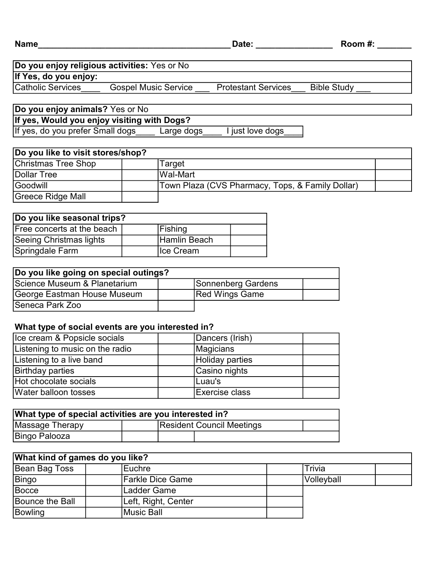## Catholic Services **Gospel Music Service Protestant Services** Bible Study Do you enjoy religious activities: Yes or No If Yes, do you enjoy:

Do you enjoy animals? Yes or No If yes, do you prefer Small dogs Large dogs I just love dogs If yes, Would you enjoy visiting with Dogs?

| Do you like to visit stores/shop? |  |                                                  |  |  |  |
|-----------------------------------|--|--------------------------------------------------|--|--|--|
| Christmas Tree Shop               |  | Target                                           |  |  |  |
| Dollar Tree                       |  | lWal-Mart                                        |  |  |  |
| Goodwill                          |  | Town Plaza (CVS Pharmacy, Tops, & Family Dollar) |  |  |  |
| Greece Ridge Mall                 |  |                                                  |  |  |  |

| Do you like seasonal trips? |  |              |  |  |
|-----------------------------|--|--------------|--|--|
| Free concerts at the beach  |  | Fishing      |  |  |
| Seeing Christmas lights     |  | Hamlin Beach |  |  |
| Springdale Farm             |  | Ice Cream    |  |  |

| Do you like going on special outings? |                       |  |
|---------------------------------------|-----------------------|--|
| Science Museum & Planetarium          | Sonnenberg Gardens    |  |
| George Eastman House Museum           | <b>Red Wings Game</b> |  |
| <b>Seneca Park Zoo</b>                |                       |  |

## What type of social events are you interested in?

| Ice cream & Popsicle socials    | Dancers (Irish) |  |
|---------------------------------|-----------------|--|
| Listening to music on the radio | Magicians       |  |
| Listening to a live band        | Holiday parties |  |
| <b>Birthday parties</b>         | Casino nights   |  |
| Hot chocolate socials           | ILuau's         |  |
| Water balloon tosses            | Exercise class  |  |

| What type of special activities are you interested in? |  |  |                                  |  |  |  |
|--------------------------------------------------------|--|--|----------------------------------|--|--|--|
| Massage Therapy                                        |  |  | <b>Resident Council Meetings</b> |  |  |  |
| Bingo Palooza                                          |  |  |                                  |  |  |  |

| What kind of games do you like? |                     |            |  |  |  |
|---------------------------------|---------------------|------------|--|--|--|
| <b>Bean Bag Toss</b>            | lEuchre             | Trivia     |  |  |  |
| Bingo                           | Farkle Dice Game    | Volleyball |  |  |  |
| Bocce                           | Ladder Game         |            |  |  |  |
| Bounce the Ball                 | Left, Right, Center |            |  |  |  |
| <b>Bowling</b>                  | Music Ball          |            |  |  |  |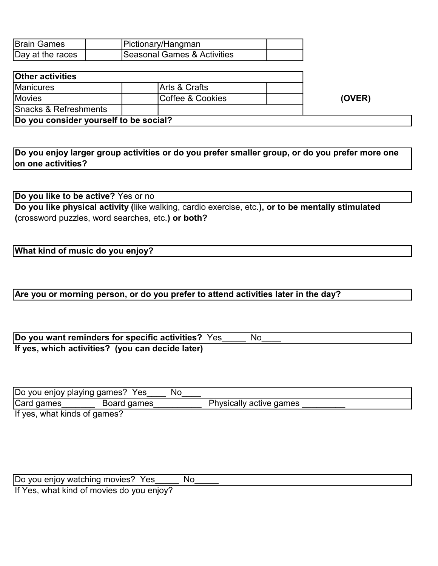| <b>Brain Games</b> | Pictionary/Hangman          |  |
|--------------------|-----------------------------|--|
| Day at the races   | Seasonal Games & Activities |  |

| <b>Other activities</b>                |                          |        |
|----------------------------------------|--------------------------|--------|
| <b>Manicures</b>                       | <b>Arts &amp; Crafts</b> |        |
| <b>Movies</b>                          | Coffee & Cookies         | (OVER) |
| <b>Snacks &amp; Refreshments</b>       |                          |        |
| Do you consider yourself to be social? |                          |        |

Do you enjoy larger group activities or do you prefer smaller group, or do you prefer more one on one activities?

Do you like to be active? Yes or no

Do you like physical activity (like walking, cardio exercise, etc.), or to be mentally stimulated (crossword puzzles, word searches, etc.) or both?

## What kind of music do you enjoy?

## Are you or morning person, or do you prefer to attend activities later in the day?

| Do you want reminders for specific activities? Yes | No |  |
|----------------------------------------------------|----|--|
| If yes, which activities? (you can decide later)   |    |  |

| Do you enjoy playing games? Yes |             | No |                         |
|---------------------------------|-------------|----|-------------------------|
| Card games                      | Board games |    | Physically active games |
| If yes, what kinds of games?    |             |    |                         |

| Do you enjoy watching movies? Yes         | N∩ |
|-------------------------------------------|----|
| If Yes, what kind of movies do you enjoy? |    |